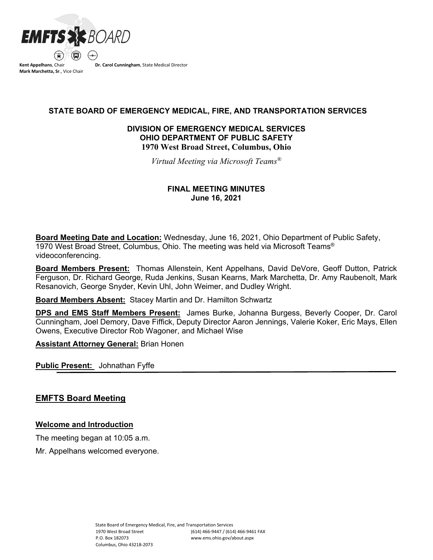

**Mark Marchetta, Sr**., Vice Chair

 **STATE BOARD OF EMERGENCY MEDICAL, FIRE, AND TRANSPORTATION SERVICES**

# **DIVISION OF EMERGENCY MEDICAL SERVICES OHIO DEPARTMENT OF PUBLIC SAFETY 1970 West Broad Street, Columbus, Ohio**

*Virtual Meeting via Microsoft Teams®*

# **FINAL MEETING MINUTES June 16, 2021**

**Board Meeting Date and Location:** Wednesday, June 16, 2021, Ohio Department of Public Safety, 1970 West Broad Street, Columbus, Ohio. The meeting was held via Microsoft Teams® videoconferencing.

**Board Members Present:** Thomas Allenstein, Kent Appelhans, David DeVore, Geoff Dutton, Patrick Ferguson, Dr. Richard George, Ruda Jenkins, Susan Kearns, Mark Marchetta, Dr. Amy Raubenolt, Mark Resanovich, George Snyder, Kevin Uhl, John Weimer, and Dudley Wright.

**Board Members Absent:** Stacey Martin and Dr. Hamilton Schwartz

**DPS and EMS Staff Members Present:** James Burke, Johanna Burgess, Beverly Cooper, Dr. Carol Cunningham, Joel Demory, Dave Fiffick, Deputy Director Aaron Jennings, Valerie Koker, Eric Mays, Ellen Owens, Executive Director Rob Wagoner, and Michael Wise

**Assistant Attorney General:** Brian Honen

**Public Present:** Johnathan Fyffe

# **EMFTS Board Meeting**

# **Welcome and Introduction**

The meeting began at 10:05 a.m.

Mr. Appelhans welcomed everyone.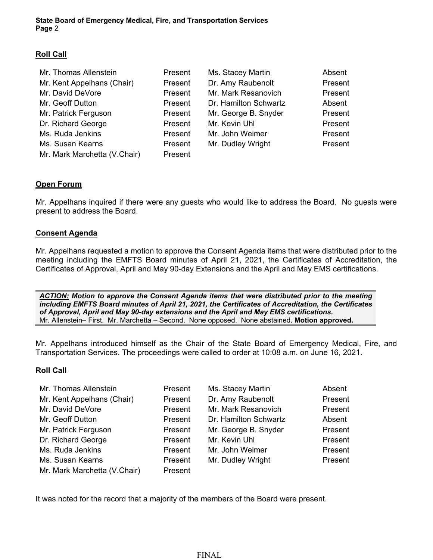# **Roll Call**

| Mr. Thomas Allenstein        | Present | Ms. Stacey Martin     | Absent  |
|------------------------------|---------|-----------------------|---------|
| Mr. Kent Appelhans (Chair)   | Present | Dr. Amy Raubenolt     | Present |
| Mr. David DeVore             | Present | Mr. Mark Resanovich   | Present |
| Mr. Geoff Dutton             | Present | Dr. Hamilton Schwartz | Absent  |
| Mr. Patrick Ferguson         | Present | Mr. George B. Snyder  | Present |
| Dr. Richard George           | Present | Mr. Kevin Uhl         | Present |
| Ms. Ruda Jenkins             | Present | Mr. John Weimer       | Present |
| Ms. Susan Kearns             | Present | Mr. Dudley Wright     | Present |
| Mr. Mark Marchetta (V.Chair) | Present |                       |         |

# **Open Forum**

Mr. Appelhans inquired if there were any guests who would like to address the Board. No guests were present to address the Board.

## **Consent Agenda**

Mr. Appelhans requested a motion to approve the Consent Agenda items that were distributed prior to the meeting including the EMFTS Board minutes of April 21, 2021, the Certificates of Accreditation, the Certificates of Approval, April and May 90-day Extensions and the April and May EMS certifications.

*ACTION: Motion to approve the Consent Agenda items that were distributed prior to the meeting including EMFTS Board minutes of April 21, 2021, the Certificates of Accreditation, the Certificates of Approval, April and May 90-day extensions and the April and May EMS certifications.*  Mr. Allenstein– First. Mr. Marchetta – Second. None opposed. None abstained. **Motion approved.**

Mr. Appelhans introduced himself as the Chair of the State Board of Emergency Medical, Fire, and Transportation Services. The proceedings were called to order at 10:08 a.m. on June 16, 2021.

## **Roll Call**

| Mr. Thomas Allenstein        | Present | Ms. Stacey Martin     | Absent  |
|------------------------------|---------|-----------------------|---------|
| Mr. Kent Appelhans (Chair)   | Present | Dr. Amy Raubenolt     | Present |
| Mr. David DeVore             | Present | Mr. Mark Resanovich   | Present |
| Mr. Geoff Dutton             | Present | Dr. Hamilton Schwartz | Absent  |
| Mr. Patrick Ferguson         | Present | Mr. George B. Snyder  | Present |
| Dr. Richard George           | Present | Mr. Kevin Uhl         | Present |
| Ms. Ruda Jenkins             | Present | Mr. John Weimer       | Present |
| Ms. Susan Kearns             | Present | Mr. Dudley Wright     | Present |
| Mr. Mark Marchetta (V.Chair) | Present |                       |         |

It was noted for the record that a majority of the members of the Board were present.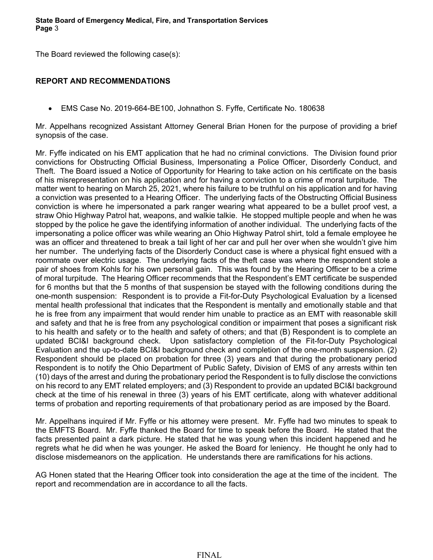The Board reviewed the following case(s):

# **REPORT AND RECOMMENDATIONS**

• EMS Case No. 2019-664-BE100, Johnathon S. Fyffe, Certificate No. 180638

Mr. Appelhans recognized Assistant Attorney General Brian Honen for the purpose of providing a brief synopsis of the case.

Mr. Fyffe indicated on his EMT application that he had no criminal convictions. The Division found prior convictions for Obstructing Official Business, Impersonating a Police Officer, Disorderly Conduct, and Theft. The Board issued a Notice of Opportunity for Hearing to take action on his certificate on the basis of his misrepresentation on his application and for having a conviction to a crime of moral turpitude. The matter went to hearing on March 25, 2021, where his failure to be truthful on his application and for having a conviction was presented to a Hearing Officer. The underlying facts of the Obstructing Official Business conviction is where he impersonated a park ranger wearing what appeared to be a bullet proof vest, a straw Ohio Highway Patrol hat, weapons, and walkie talkie. He stopped multiple people and when he was stopped by the police he gave the identifying information of another individual. The underlying facts of the impersonating a police officer was while wearing an Ohio Highway Patrol shirt, told a female employee he was an officer and threatened to break a tail light of her car and pull her over when she wouldn't give him her number. The underlying facts of the Disorderly Conduct case is where a physical fight ensued with a roommate over electric usage. The underlying facts of the theft case was where the respondent stole a pair of shoes from Kohls for his own personal gain. This was found by the Hearing Officer to be a crime of moral turpitude. The Hearing Officer recommends that the Respondent's EMT certificate be suspended for 6 months but that the 5 months of that suspension be stayed with the following conditions during the one-month suspension: Respondent is to provide a Fit-for-Duty Psychological Evaluation by a licensed mental health professional that indicates that the Respondent is mentally and emotionally stable and that he is free from any impairment that would render him unable to practice as an EMT with reasonable skill and safety and that he is free from any psychological condition or impairment that poses a significant risk to his health and safety or to the health and safety of others; and that (B) Respondent is to complete an updated BCI&I background check. Upon satisfactory completion of the Fit-for-Duty Psychological Evaluation and the up-to-date BCI&I background check and completion of the one-month suspension. (2) Respondent should be placed on probation for three (3) years and that during the probationary period Respondent is to notify the Ohio Department of Public Safety, Division of EMS of any arrests within ten (10) days of the arrest and during the probationary period the Respondent is to fully disclose the convictions on his record to any EMT related employers; and (3) Respondent to provide an updated BCI&I background check at the time of his renewal in three (3) years of his EMT certificate, along with whatever additional terms of probation and reporting requirements of that probationary period as are imposed by the Board.

Mr. Appelhans inquired if Mr. Fyffe or his attorney were present. Mr. Fyffe had two minutes to speak to the EMFTS Board. Mr. Fyffe thanked the Board for time to speak before the Board. He stated that the facts presented paint a dark picture. He stated that he was young when this incident happened and he regrets what he did when he was younger. He asked the Board for leniency. He thought he only had to disclose misdemeanors on the application. He understands there are ramifications for his actions.

AG Honen stated that the Hearing Officer took into consideration the age at the time of the incident. The report and recommendation are in accordance to all the facts.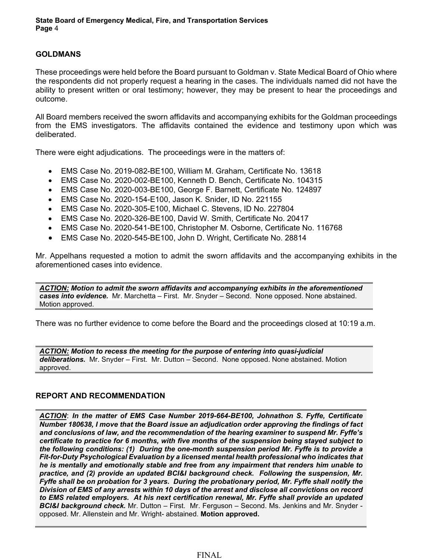# **GOLDMANS**

These proceedings were held before the Board pursuant to Goldman v. State Medical Board of Ohio where the respondents did not properly request a hearing in the cases. The individuals named did not have the ability to present written or oral testimony; however, they may be present to hear the proceedings and outcome.

All Board members received the sworn affidavits and accompanying exhibits for the Goldman proceedings from the EMS investigators. The affidavits contained the evidence and testimony upon which was deliberated.

There were eight adjudications. The proceedings were in the matters of:

- EMS Case No. 2019-082-BE100, William M. Graham, Certificate No. 13618
- EMS Case No. 2020-002-BE100, Kenneth D. Bench, Certificate No. 104315
- EMS Case No. 2020-003-BE100, George F. Barnett, Certificate No. 124897
- EMS Case No. 2020-154-E100, Jason K. Snider, ID No. 221155
- EMS Case No. 2020-305-E100, Michael C. Stevens, ID No. 227804
- EMS Case No. 2020-326-BE100, David W. Smith, Certificate No. 20417
- EMS Case No. 2020-541-BE100, Christopher M. Osborne, Certificate No. 116768
- EMS Case No. 2020-545-BE100, John D. Wright, Certificate No. 28814

Mr. Appelhans requested a motion to admit the sworn affidavits and the accompanying exhibits in the aforementioned cases into evidence.

*ACTION: Motion to admit the sworn affidavits and accompanying exhibits in the aforementioned cases into evidence.* Mr. Marchetta – First. Mr. Snyder – Second. None opposed. None abstained. Motion approved.

There was no further evidence to come before the Board and the proceedings closed at 10:19 a.m.

*ACTION: Motion to recess the meeting for the purpose of entering into quasi-judicial deliberations.* Mr. Snyder – First. Mr. Dutton – Second. None opposed. None abstained. Motion approved.

## **REPORT AND RECOMMENDATION**

*ACTION*: *In the matter of EMS Case Number 2019-664-BE100, Johnathon S. Fyffe, Certificate Number 180638, I move that the Board issue an adjudication order approving the findings of fact and conclusions of law, and the recommendation of the hearing examiner to suspend Mr. Fyffe's certificate to practice for 6 months, with five months of the suspension being stayed subject to the following conditions: (1) During the one-month suspension period Mr. Fyffe is to provide a Fit-for-Duty Psychological Evaluation by a licensed mental health professional who indicates that he is mentally and emotionally stable and free from any impairment that renders him unable to practice, and (2) provide an updated BCI&I background check. Following the suspension, Mr. Fyffe shall be on probation for 3 years. During the probationary period, Mr. Fyffe shall notify the Division of EMS of any arrests within 10 days of the arrest and disclose all convictions on record to EMS related employers. At his next certification renewal, Mr. Fyffe shall provide an updated BCI&I background check.* Mr. Dutton – First. Mr. Ferguson – Second. Ms. Jenkins and Mr. Snyder opposed. Mr. Allenstein and Mr. Wright- abstained. **Motion approved.**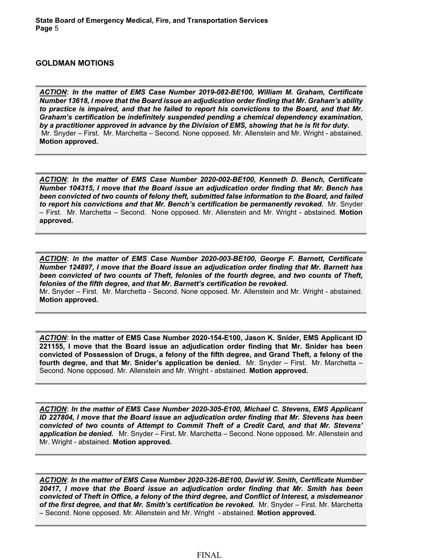#### **GOLDMAN MOTIONS**

**Motion approved.**

*ACTION*: *In the matter of EMS Case Number 2019-082-BE100, William M. Graham, Certificate Number 13618, I move that the Board issue an adjudication order finding that Mr. Graham's ability to practice is impaired, and that he failed to report his convictions to the Board, and that Mr. Graham's certification be indefinitely suspended pending a chemical dependency examination, by a practitioner approved in advance by the Division of EMS, showing that he is fit for duty.*  Mr. Snyder – First. Mr. Marchetta – Second. None opposed. Mr. Allenstein and Mr. Wright - abstained. **Motion approved.**

*ACTION*: *In the matter of EMS Case Number 2020-002-BE100, Kenneth D. Bench, Certificate Number 104315, I move that the Board issue an adjudication order finding that Mr. Bench has been convicted of two counts of felony theft, submitted false information to the Board, and failed to report his convictions and that Mr. Bench's certification be permanently revoked.* Mr. Snyder – First. Mr. Marchetta – Second. None opposed. Mr. Allenstein and Mr. Wright - abstained. **Motion approved.**

*ACTION*: *In the matter of EMS Case Number 2020-003-BE100, George F. Barnett, Certificate Number 124897, I move that the Board issue an adjudication order finding that Mr. Barnett has been convicted of two counts of Theft, felonies of the fourth degree, and two counts of Theft, felonies of the fifth degree, and that Mr. Barnett's certification be revoked.*  Mr. Snyder – First. Mr. Marchetta - Second. None opposed. Mr. Allenstein and Mr. Wright - abstained.

*ACTION*: **In the matter of EMS Case Number 2020-154-E100, Jason K. Snider, EMS Applicant ID 221155, I move that the Board issue an adjudication order finding that Mr. Snider has been convicted of Possession of Drugs, a felony of the fifth degree, and Grand Theft, a felony of the fourth degree, and that Mr. Snider's application be denied.** Mr. Snyder – First. Mr. Marchetta – Second. None opposed. Mr. Allenstein and Mr. Wright - abstained. **Motion approved.**

*ACTION*: *In the matter of EMS Case Number 2020-305-E100, Michael C. Stevens, EMS Applicant ID 227804, I move that the Board issue an adjudication order finding that Mr. Stevens has been convicted of two counts of Attempt to Commit Theft of a Credit Card, and that Mr. Stevens' application be denied.* Mr. Snyder – First. Mr. Marchetta – Second. None opposed. Mr. Allenstein and Mr. Wright - abstained. **Motion approved.**

*ACTION*: *In the matter of EMS Case Number 2020-326-BE100, David W. Smith, Certificate Number 20417, I move that the Board issue an adjudication order finding that Mr. Smith has been convicted of Theft in Office, a felony of the third degree, and Conflict of Interest, a misdemeanor of the first degree, and that Mr. Smith's certification be revoked.* Mr. Snyder – First. Mr. Marchetta – Second. None opposed. Mr. Allenstein and Mr. Wright - abstained. **Motion approved.**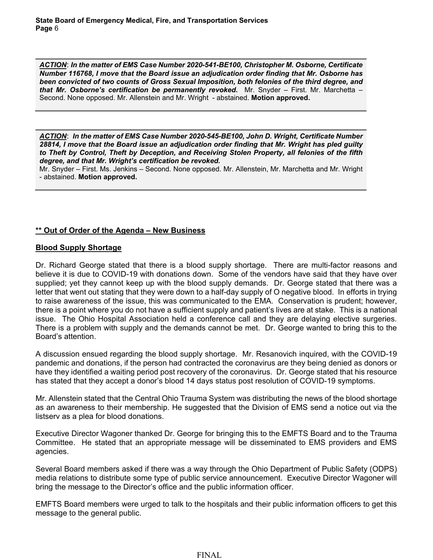*ACTION*: *In the matter of EMS Case Number 2020-541-BE100, Christopher M. Osborne, Certificate Number 116768, I move that the Board issue an adjudication order finding that Mr. Osborne has been convicted of two counts of Gross Sexual Imposition, both felonies of the third degree, and that Mr. Osborne's certification be permanently revoked.* Mr. Snyder – First. Mr. Marchetta – Second. None opposed. Mr. Allenstein and Mr. Wright - abstained. **Motion approved.**

*ACTION*: *In the matter of EMS Case Number 2020-545-BE100, John D. Wright, Certificate Number 28814, I move that the Board issue an adjudication order finding that Mr. Wright has pled guilty to Theft by Control, Theft by Deception, and Receiving Stolen Property, all felonies of the fifth degree, and that Mr. Wright's certification be revoked.* 

Mr. Snyder – First. Ms. Jenkins – Second. None opposed. Mr. Allenstein, Mr. Marchetta and Mr. Wright - abstained. **Motion approved.**

# **\*\* Out of Order of the Agenda – New Business**

# **Blood Supply Shortage**

Dr. Richard George stated that there is a blood supply shortage. There are multi-factor reasons and believe it is due to COVID-19 with donations down. Some of the vendors have said that they have over supplied; yet they cannot keep up with the blood supply demands. Dr. George stated that there was a letter that went out stating that they were down to a half-day supply of O negative blood. In efforts in trying to raise awareness of the issue, this was communicated to the EMA. Conservation is prudent; however, there is a point where you do not have a sufficient supply and patient's lives are at stake. This is a national issue. The Ohio Hospital Association held a conference call and they are delaying elective surgeries. There is a problem with supply and the demands cannot be met. Dr. George wanted to bring this to the Board's attention.

A discussion ensued regarding the blood supply shortage. Mr. Resanovich inquired, with the COVID-19 pandemic and donations, if the person had contracted the coronavirus are they being denied as donors or have they identified a waiting period post recovery of the coronavirus. Dr. George stated that his resource has stated that they accept a donor's blood 14 days status post resolution of COVID-19 symptoms.

Mr. Allenstein stated that the Central Ohio Trauma System was distributing the news of the blood shortage as an awareness to their membership. He suggested that the Division of EMS send a notice out via the listserv as a plea for blood donations.

Executive Director Wagoner thanked Dr. George for bringing this to the EMFTS Board and to the Trauma Committee. He stated that an appropriate message will be disseminated to EMS providers and EMS agencies.

Several Board members asked if there was a way through the Ohio Department of Public Safety (ODPS) media relations to distribute some type of public service announcement. Executive Director Wagoner will bring the message to the Director's office and the public information officer.

EMFTS Board members were urged to talk to the hospitals and their public information officers to get this message to the general public.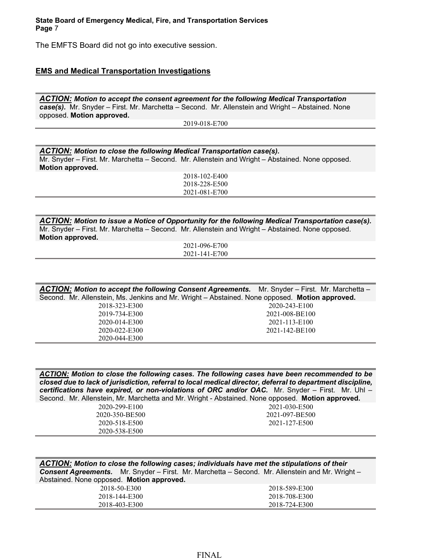The EMFTS Board did not go into executive session.

#### **EMS and Medical Transportation Investigations**

*ACTION: Motion to accept the consent agreement for the following Medical Transportation case(s).* Mr. Snyder – First. Mr. Marchetta – Second. Mr. Allenstein and Wright – Abstained. None opposed. **Motion approved.**

2019-018-E700

*ACTION: Motion to close the following Medical Transportation case(s).* Mr. Snyder – First. Mr. Marchetta – Second. Mr. Allenstein and Wright – Abstained. None opposed. **Motion approved.**

2018-102-E400 2018-228-E500 2021-081-E700

*ACTION: Motion to issue a Notice of Opportunity for the following Medical Transportation case(s).* Mr. Snyder – First. Mr. Marchetta – Second. Mr. Allenstein and Wright – Abstained. None opposed. **Motion approved.**

2021-096-E700 2021-141-E700

| <b>ACTION: Motion to accept the following Consent Agreements.</b> Mr. Snyder – First. Mr. Marchetta – |                |
|-------------------------------------------------------------------------------------------------------|----------------|
| Second. Mr. Allenstein, Ms. Jenkins and Mr. Wright - Abstained. None opposed. Motion approved.        |                |
| 2018-323-E300                                                                                         | 2020-243-E100  |
| 2019-734-E300                                                                                         | 2021-008-BE100 |
| 2020-014-E300                                                                                         | 2021-113-E100  |
| 2020-022-E300                                                                                         | 2021-142-BE100 |
| 2020-044-E300                                                                                         |                |

*ACTION: Motion to close the following cases. The following cases have been recommended to be closed due to lack of jurisdiction, referral to local medical director, deferral to department discipline, certifications have expired, or non-violations of ORC and/or OAC.* Mr. Snyder – First. Mr. Uhl – Second. Mr. Allenstein, Mr. Marchetta and Mr. Wright - Abstained. None opposed. **Motion approved.**

| 2020-299-E100  | 2021-030-E500  |
|----------------|----------------|
| 2020-350-BE500 | 2021-097-BE500 |
| 2020-518-E500  | 2021-127-E500  |
| 2020-538-E500  |                |

*ACTION: Motion to close the following cases; individuals have met the stipulations of their Consent Agreements.* Mr. Snyder – First. Mr. Marchetta – Second. Mr. Allenstein and Mr. Wright – Abstained. None opposed. **Motion approved.**

| 2018-50-E300  | 2018-589-E300 |
|---------------|---------------|
| 2018-144-E300 | 2018-708-E300 |
| 2018-403-E300 | 2018-724-E300 |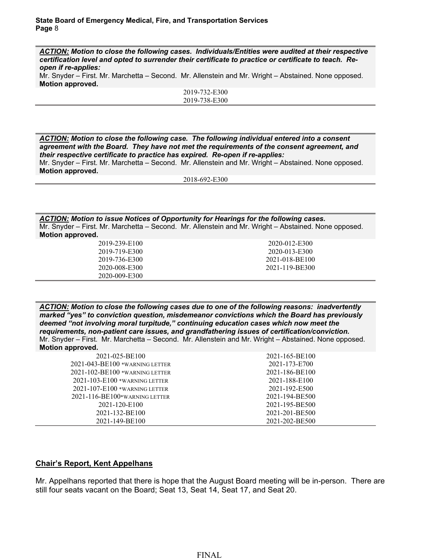*ACTION: Motion to close the following cases. Individuals/Entities were audited at their respective certification level and opted to surrender their certificate to practice or certificate to teach. Reopen if re-applies:*

Mr. Snyder – First. Mr. Marchetta – Second. Mr. Allenstein and Mr. Wright – Abstained. None opposed. **Motion approved.**

| 2019-732-E300 |
|---------------|
| 2019-738-E300 |
|               |

*ACTION: Motion to close the following case. The following individual entered into a consent agreement with the Board. They have not met the requirements of the consent agreement, and their respective certificate to practice has expired. Re-open if re-applies:*

Mr. Snyder – First. Mr. Marchetta – Second. Mr. Allenstein and Mr. Wright – Abstained. None opposed. **Motion approved.**

2018-692-E300

*ACTION: Motion to issue Notices of Opportunity for Hearings for the following cases.* Mr. Snyder – First. Mr. Marchetta – Second. Mr. Allenstein and Mr. Wright – Abstained. None opposed. **Motion approved.**

| 2019-239-E100 | 2020-012-E300  |
|---------------|----------------|
| 2019-719-E300 | 2020-013-E300  |
| 2019-736-E300 | 2021-018-BE100 |
| 2020-008-E300 | 2021-119-BE300 |
| 2020-009-E300 |                |

*ACTION: Motion to close the following cases due to one of the following reasons: inadvertently marked "yes" to conviction question, misdemeanor convictions which the Board has previously deemed "not involving moral turpitude," continuing education cases which now meet the requirements, non-patient care issues, and grandfathering issues of certification/conviction.*  Mr. Snyder – First. Mr. Marchetta – Second. Mr. Allenstein and Mr. Wright – Abstained. None opposed. **Motion approved.**

| 2021-025-BE100                       | 2021-165-BE100 |
|--------------------------------------|----------------|
| 2021-043-BE100 *WARNING LETTER       | 2021-173-E700  |
| $2021 - 102 - BE100$ *WARNING LETTER | 2021-186-BE100 |
| $2021 - 103 - E100$ *Warning Letter  | 2021-188-E100  |
| $2021 - 107 - E100$ *WARNING LETTER  | 2021-192-E500  |
| $2021 - 116 - BE100*$ WARNING LETTER | 2021-194-BE500 |
| 2021-120-E100                        | 2021-195-BE500 |
| 2021-132-BE100                       | 2021-201-BE500 |
| 2021-149-BE100                       | 2021-202-BE500 |

# **Chair's Report, Kent Appelhans**

Mr. Appelhans reported that there is hope that the August Board meeting will be in-person. There are still four seats vacant on the Board; Seat 13, Seat 14, Seat 17, and Seat 20.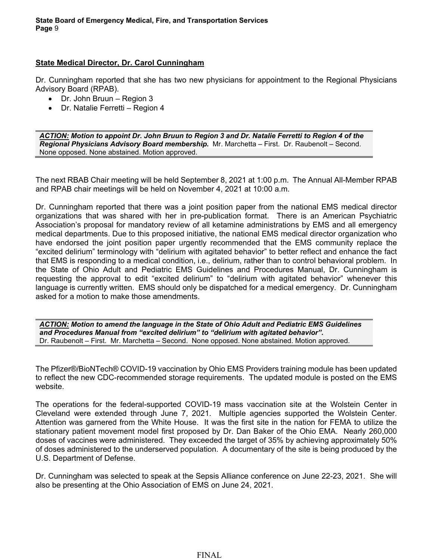# **State Medical Director, Dr. Carol Cunningham**

Dr. Cunningham reported that she has two new physicians for appointment to the Regional Physicians Advisory Board (RPAB).

- Dr. John Bruun Region 3
- Dr. Natalie Ferretti Region 4

*ACTION: Motion to appoint Dr. John Bruun to Region 3 and Dr. Natalie Ferretti to Region 4 of the Regional Physicians Advisory Board membership.* Mr. Marchetta – First. Dr. Raubenolt – Second. None opposed. None abstained. Motion approved.

The next RBAB Chair meeting will be held September 8, 2021 at 1:00 p.m. The Annual All-Member RPAB and RPAB chair meetings will be held on November 4, 2021 at 10:00 a.m.

Dr. Cunningham reported that there was a joint position paper from the national EMS medical director organizations that was shared with her in pre-publication format. There is an American Psychiatric Association's proposal for mandatory review of all ketamine administrations by EMS and all emergency medical departments. Due to this proposed initiative, the national EMS medical director organization who have endorsed the joint position paper urgently recommended that the EMS community replace the "excited delirium" terminology with "delirium with agitated behavior" to better reflect and enhance the fact that EMS is responding to a medical condition, i.e., delirium, rather than to control behavioral problem. In the State of Ohio Adult and Pediatric EMS Guidelines and Procedures Manual, Dr. Cunningham is requesting the approval to edit "excited delirium" to "delirium with agitated behavior" whenever this language is currently written. EMS should only be dispatched for a medical emergency. Dr. Cunningham asked for a motion to make those amendments.

*ACTION: Motion to amend the language in the State of Ohio Adult and Pediatric EMS Guidelines and Procedures Manual from "excited delirium" to "delirium with agitated behavior".* Dr. Raubenolt – First. Mr. Marchetta – Second. None opposed. None abstained. Motion approved.

The Pfizer®/BioNTech® COVID-19 vaccination by Ohio EMS Providers training module has been updated to reflect the new CDC-recommended storage requirements. The updated module is posted on the EMS website.

The operations for the federal-supported COVID-19 mass vaccination site at the Wolstein Center in Cleveland were extended through June 7, 2021. Multiple agencies supported the Wolstein Center. Attention was garnered from the White House. It was the first site in the nation for FEMA to utilize the stationary patient movement model first proposed by Dr. Dan Baker of the Ohio EMA. Nearly 260,000 doses of vaccines were administered. They exceeded the target of 35% by achieving approximately 50% of doses administered to the underserved population. A documentary of the site is being produced by the U.S. Department of Defense.

Dr. Cunningham was selected to speak at the Sepsis Alliance conference on June 22-23, 2021. She will also be presenting at the Ohio Association of EMS on June 24, 2021.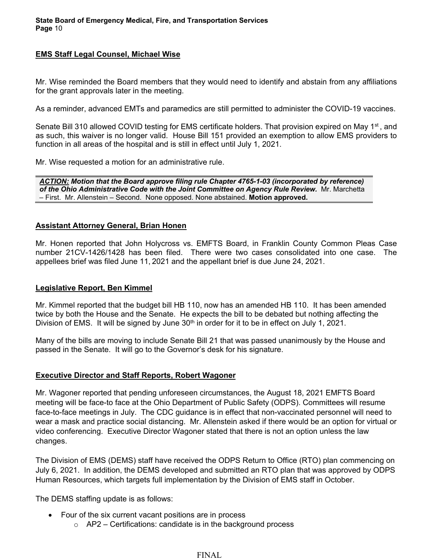# **EMS Staff Legal Counsel, Michael Wise**

Mr. Wise reminded the Board members that they would need to identify and abstain from any affiliations for the grant approvals later in the meeting.

As a reminder, advanced EMTs and paramedics are still permitted to administer the COVID-19 vaccines.

Senate Bill 310 allowed COVID testing for EMS certificate holders. That provision expired on May 1<sup>st</sup>, and as such, this waiver is no longer valid. House Bill 151 provided an exemption to allow EMS providers to function in all areas of the hospital and is still in effect until July 1, 2021.

Mr. Wise requested a motion for an administrative rule.

*ACTION: Motion that the Board approve filing rule Chapter 4765-1-03 (incorporated by reference) of the Ohio Administrative Code with the Joint Committee on Agency Rule Review.* Mr. Marchetta – First. Mr. Allenstein – Second. None opposed. None abstained. **Motion approved.**

## **Assistant Attorney General, Brian Honen**

Mr. Honen reported that John Holycross vs. EMFTS Board, in Franklin County Common Pleas Case number 21CV-1426/1428 has been filed. There were two cases consolidated into one case. The appellees brief was filed June 11, 2021 and the appellant brief is due June 24, 2021.

## **Legislative Report, Ben Kimmel**

Mr. Kimmel reported that the budget bill HB 110, now has an amended HB 110. It has been amended twice by both the House and the Senate. He expects the bill to be debated but nothing affecting the Division of EMS. It will be signed by June 30<sup>th</sup> in order for it to be in effect on July 1, 2021.

Many of the bills are moving to include Senate Bill 21 that was passed unanimously by the House and passed in the Senate. It will go to the Governor's desk for his signature.

#### **Executive Director and Staff Reports, Robert Wagoner**

Mr. Wagoner reported that pending unforeseen circumstances, the August 18, 2021 EMFTS Board meeting will be face-to face at the Ohio Department of Public Safety (ODPS). Committees will resume face-to-face meetings in July. The CDC guidance is in effect that non-vaccinated personnel will need to wear a mask and practice social distancing. Mr. Allenstein asked if there would be an option for virtual or video conferencing. Executive Director Wagoner stated that there is not an option unless the law changes.

The Division of EMS (DEMS) staff have received the ODPS Return to Office (RTO) plan commencing on July 6, 2021. In addition, the DEMS developed and submitted an RTO plan that was approved by ODPS Human Resources, which targets full implementation by the Division of EMS staff in October.

The DEMS staffing update is as follows:

- Four of the six current vacant positions are in process
	- $\circ$  AP2 Certifications: candidate is in the background process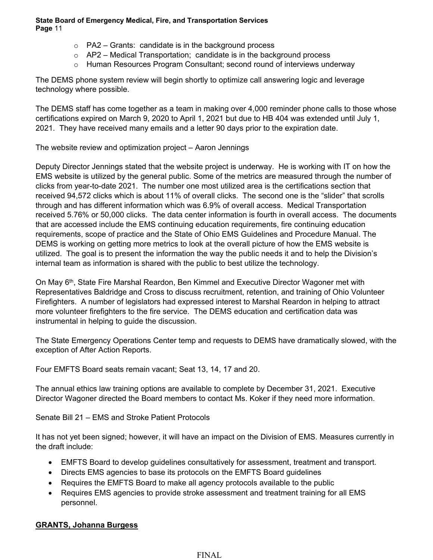- $\circ$  PA2 Grants: candidate is in the background process
- $\circ$  AP2 Medical Transportation; candidate is in the background process
- o Human Resources Program Consultant; second round of interviews underway

The DEMS phone system review will begin shortly to optimize call answering logic and leverage technology where possible.

The DEMS staff has come together as a team in making over 4,000 reminder phone calls to those whose certifications expired on March 9, 2020 to April 1, 2021 but due to HB 404 was extended until July 1, 2021. They have received many emails and a letter 90 days prior to the expiration date.

The website review and optimization project – Aaron Jennings

Deputy Director Jennings stated that the website project is underway. He is working with IT on how the EMS website is utilized by the general public. Some of the metrics are measured through the number of clicks from year-to-date 2021. The number one most utilized area is the certifications section that received 94,572 clicks which is about 11% of overall clicks. The second one is the "slider" that scrolls through and has different information which was 6.9% of overall access. Medical Transportation received 5.76% or 50,000 clicks. The data center information is fourth in overall access. The documents that are accessed include the EMS continuing education requirements, fire continuing education requirements, scope of practice and the State of Ohio EMS Guidelines and Procedure Manual. The DEMS is working on getting more metrics to look at the overall picture of how the EMS website is utilized. The goal is to present the information the way the public needs it and to help the Division's internal team as information is shared with the public to best utilize the technology.

On May 6<sup>th</sup>, State Fire Marshal Reardon, Ben Kimmel and Executive Director Wagoner met with Representatives Baldridge and Cross to discuss recruitment, retention, and training of Ohio Volunteer Firefighters. A number of legislators had expressed interest to Marshal Reardon in helping to attract more volunteer firefighters to the fire service. The DEMS education and certification data was instrumental in helping to guide the discussion.

The State Emergency Operations Center temp and requests to DEMS have dramatically slowed, with the exception of After Action Reports.

Four EMFTS Board seats remain vacant; Seat 13, 14, 17 and 20.

The annual ethics law training options are available to complete by December 31, 2021. Executive Director Wagoner directed the Board members to contact Ms. Koker if they need more information.

Senate Bill 21 – EMS and Stroke Patient Protocols

It has not yet been signed; however, it will have an impact on the Division of EMS. Measures currently in the draft include:

- EMFTS Board to develop guidelines consultatively for assessment, treatment and transport.
- Directs EMS agencies to base its protocols on the EMFTS Board guidelines
- Requires the EMFTS Board to make all agency protocols available to the public
- Requires EMS agencies to provide stroke assessment and treatment training for all EMS personnel.

# **GRANTS, Johanna Burgess**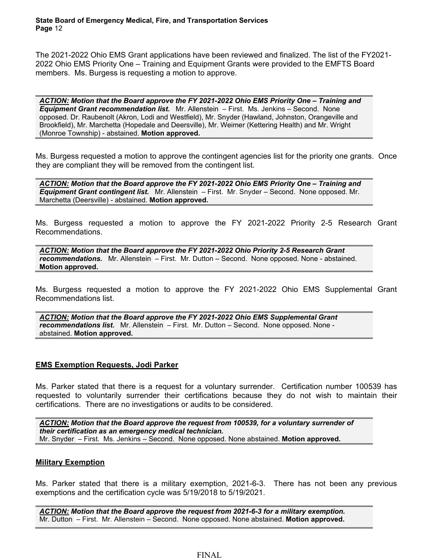The 2021-2022 Ohio EMS Grant applications have been reviewed and finalized. The list of the FY2021- 2022 Ohio EMS Priority One – Training and Equipment Grants were provided to the EMFTS Board members. Ms. Burgess is requesting a motion to approve.

*ACTION: Motion that the Board approve the FY 2021-2022 Ohio EMS Priority One – Training and Equipment Grant recommendation list.* Mr. Allenstein – First. Ms. Jenkins – Second. None opposed. Dr. Raubenolt (Akron, Lodi and Westfield), Mr. Snyder (Hawland, Johnston, Orangeville and Brookfield), Mr. Marchetta (Hopedale and Deersville), Mr. Weimer (Kettering Health) and Mr. Wright (Monroe Township) - abstained. **Motion approved.**

Ms. Burgess requested a motion to approve the contingent agencies list for the priority one grants. Once they are compliant they will be removed from the contingent list.

*ACTION: Motion that the Board approve the FY 2021-2022 Ohio EMS Priority One – Training and Equipment Grant contingent list.* Mr. Allenstein – First. Mr. Snyder – Second. None opposed. Mr. Marchetta (Deersville) - abstained. **Motion approved.**

Ms. Burgess requested a motion to approve the FY 2021-2022 Priority 2-5 Research Grant Recommendations.

*ACTION: Motion that the Board approve the FY 2021-2022 Ohio Priority 2-5 Research Grant recommendations.* Mr. Allenstein – First. Mr. Dutton – Second. None opposed. None - abstained. **Motion approved.**

Ms. Burgess requested a motion to approve the FY 2021-2022 Ohio EMS Supplemental Grant Recommendations list.

*ACTION: Motion that the Board approve the FY 2021-2022 Ohio EMS Supplemental Grant recommendations list.* Mr. Allenstein – First. Mr. Dutton – Second. None opposed. None abstained. **Motion approved.**

# **EMS Exemption Requests, Jodi Parker**

Ms. Parker stated that there is a request for a voluntary surrender. Certification number 100539 has requested to voluntarily surrender their certifications because they do not wish to maintain their certifications. There are no investigations or audits to be considered.

*ACTION: Motion that the Board approve the request from 100539, for a voluntary surrender of their certification as an emergency medical technician.*  Mr. Snyder – First. Ms. Jenkins – Second. None opposed. None abstained. **Motion approved.**

## **Military Exemption**

Ms. Parker stated that there is a military exemption, 2021-6-3. There has not been any previous exemptions and the certification cycle was 5/19/2018 to 5/19/2021.

*ACTION: Motion that the Board approve the request from 2021-6-3 for a military exemption.* Mr. Dutton – First. Mr. Allenstein – Second. None opposed. None abstained. **Motion approved.**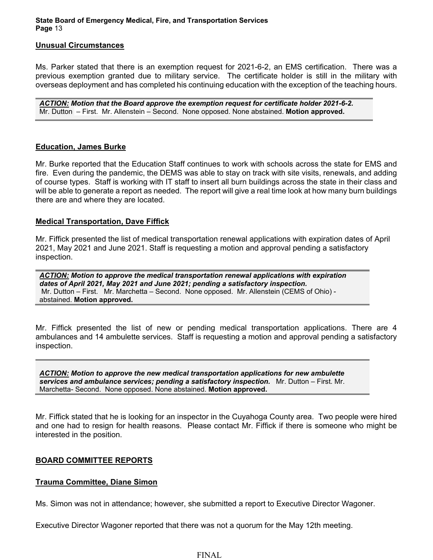#### **Unusual Circumstances**

Ms. Parker stated that there is an exemption request for 2021-6-2, an EMS certification. There was a previous exemption granted due to military service. The certificate holder is still in the military with overseas deployment and has completed his continuing education with the exception of the teaching hours.

*ACTION: Motion that the Board approve the exemption request for certificate holder 2021-6-2.* Mr. Dutton – First. Mr. Allenstein – Second. None opposed. None abstained. **Motion approved.**

#### **Education, James Burke**

Mr. Burke reported that the Education Staff continues to work with schools across the state for EMS and fire. Even during the pandemic, the DEMS was able to stay on track with site visits, renewals, and adding of course types. Staff is working with IT staff to insert all burn buildings across the state in their class and will be able to generate a report as needed. The report will give a real time look at how many burn buildings there are and where they are located.

## **Medical Transportation, Dave Fiffick**

Mr. Fiffick presented the list of medical transportation renewal applications with expiration dates of April 2021, May 2021 and June 2021. Staff is requesting a motion and approval pending a satisfactory inspection.

*ACTION: Motion to approve the medical transportation renewal applications with expiration dates of April 2021, May 2021 and June 2021; pending a satisfactory inspection.* Mr. Dutton – First. Mr. Marchetta – Second. None opposed. Mr. Allenstein (CEMS of Ohio) abstained. **Motion approved.**

Mr. Fiffick presented the list of new or pending medical transportation applications. There are 4 ambulances and 14 ambulette services. Staff is requesting a motion and approval pending a satisfactory inspection.

*ACTION: Motion to approve the new medical transportation applications for new ambulette services and ambulance services; pending a satisfactory inspection.* Mr. Dutton – First. Mr. Marchetta- Second. None opposed. None abstained. **Motion approved.**

Mr. Fiffick stated that he is looking for an inspector in the Cuyahoga County area. Two people were hired and one had to resign for health reasons. Please contact Mr. Fiffick if there is someone who might be interested in the position.

## **BOARD COMMITTEE REPORTS**

## **Trauma Committee, Diane Simon**

Ms. Simon was not in attendance; however, she submitted a report to Executive Director Wagoner.

Executive Director Wagoner reported that there was not a quorum for the May 12th meeting.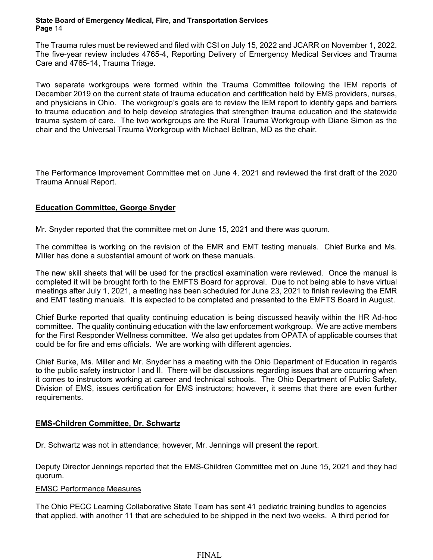The Trauma rules must be reviewed and filed with CSI on July 15, 2022 and JCARR on November 1, 2022. The five-year review includes 4765-4, Reporting Delivery of Emergency Medical Services and Trauma Care and 4765-14, Trauma Triage.

Two separate workgroups were formed within the Trauma Committee following the IEM reports of December 2019 on the current state of trauma education and certification held by EMS providers, nurses, and physicians in Ohio. The workgroup's goals are to review the IEM report to identify gaps and barriers to trauma education and to help develop strategies that strengthen trauma education and the statewide trauma system of care. The two workgroups are the Rural Trauma Workgroup with Diane Simon as the chair and the Universal Trauma Workgroup with Michael Beltran, MD as the chair.

The Performance Improvement Committee met on June 4, 2021 and reviewed the first draft of the 2020 Trauma Annual Report.

# **Education Committee, George Snyder**

Mr. Snyder reported that the committee met on June 15, 2021 and there was quorum.

The committee is working on the revision of the EMR and EMT testing manuals. Chief Burke and Ms. Miller has done a substantial amount of work on these manuals.

The new skill sheets that will be used for the practical examination were reviewed. Once the manual is completed it will be brought forth to the EMFTS Board for approval. Due to not being able to have virtual meetings after July 1, 2021, a meeting has been scheduled for June 23, 2021 to finish reviewing the EMR and EMT testing manuals. It is expected to be completed and presented to the EMFTS Board in August.

Chief Burke reported that quality continuing education is being discussed heavily within the HR Ad-hoc committee. The quality continuing education with the law enforcement workgroup. We are active members for the First Responder Wellness committee. We also get updates from OPATA of applicable courses that could be for fire and ems officials. We are working with different agencies.

Chief Burke, Ms. Miller and Mr. Snyder has a meeting with the Ohio Department of Education in regards to the public safety instructor I and II. There will be discussions regarding issues that are occurring when it comes to instructors working at career and technical schools. The Ohio Department of Public Safety, Division of EMS, issues certification for EMS instructors; however, it seems that there are even further requirements.

# **EMS-Children Committee, Dr. Schwartz**

Dr. Schwartz was not in attendance; however, Mr. Jennings will present the report.

Deputy Director Jennings reported that the EMS-Children Committee met on June 15, 2021 and they had quorum.

## EMSC Performance Measures

The Ohio PECC Learning Collaborative State Team has sent 41 pediatric training bundles to agencies that applied, with another 11 that are scheduled to be shipped in the next two weeks. A third period for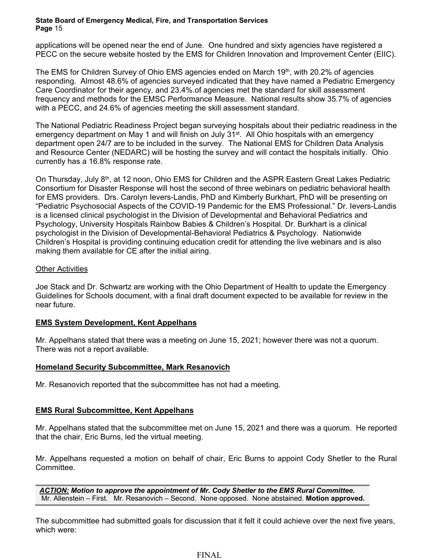applications will be opened near the end of June. One hundred and sixty agencies have registered a PECC on the secure website hosted by the EMS for Children Innovation and Improvement Center (EIIC).

The EMS for Children Survey of Ohio EMS agencies ended on March 19th, with 20.2% of agencies responding. Almost 48.6% of agencies surveyed indicated that they have named a Pediatric Emergency Care Coordinator for their agency, and 23.4%.of agencies met the standard for skill assessment frequency and methods for the EMSC Performance Measure. National results show 35.7% of agencies with a PECC, and 24.6% of agencies meeting the skill assessment standard.

The National Pediatric Readiness Project began surveying hospitals about their pediatric readiness in the emergency department on May 1 and will finish on July 31<sup>st</sup>. All Ohio hospitals with an emergency department open 24/7 are to be included in the survey. The National EMS for Children Data Analysis and Resource Center (NEDARC) will be hosting the survey and will contact the hospitals initially. Ohio currently has a 16.8% response rate.

On Thursday, July 8<sup>th</sup>, at 12 noon, Ohio EMS for Children and the ASPR Eastern Great Lakes Pediatric Consortium for Disaster Response will host the second of three webinars on pediatric behavioral health for EMS providers. Drs. Carolyn Ievers-Landis, PhD and Kimberly Burkhart, PhD will be presenting on "Pediatric Psychosocial Aspects of the COVID-19 Pandemic for the EMS Professional." Dr. Ievers-Landis is a licensed clinical psychologist in the Division of Developmental and Behavioral Pediatrics and Psychology, University Hospitals Rainbow Babies & Children's Hospital. Dr. Burkhart is a clinical psychologist in the Division of Developmental-Behavioral Pediatrics & Psychology. Nationwide Children's Hospital is providing continuing education credit for attending the live webinars and is also making them available for CE after the initial airing.

# Other Activities

Joe Stack and Dr. Schwartz are working with the Ohio Department of Health to update the Emergency Guidelines for Schools document, with a final draft document expected to be available for review in the near future.

# **EMS System Development, Kent Appelhans**

Mr. Appelhans stated that there was a meeting on June 15, 2021; however there was not a quorum. There was not a report available.

# **Homeland Security Subcommittee, Mark Resanovich**

Mr. Resanovich reported that the subcommittee has not had a meeting.

# **EMS Rural Subcommittee, Kent Appelhans**

Mr. Appelhans stated that the subcommittee met on June 15, 2021 and there was a quorum. He reported that the chair, Eric Burns, led the virtual meeting.

Mr. Appelhans requested a motion on behalf of chair, Eric Burns to appoint Cody Shetler to the Rural Committee.

*ACTION: Motion to approve the appointment of Mr. Cody Shetler to the EMS Rural Committee.*  Mr. Allenstein – First. Mr. Resanovich – Second. None opposed. None abstained. **Motion approved.**

The subcommittee had submitted goals for discussion that it felt it could achieve over the next five years, which were: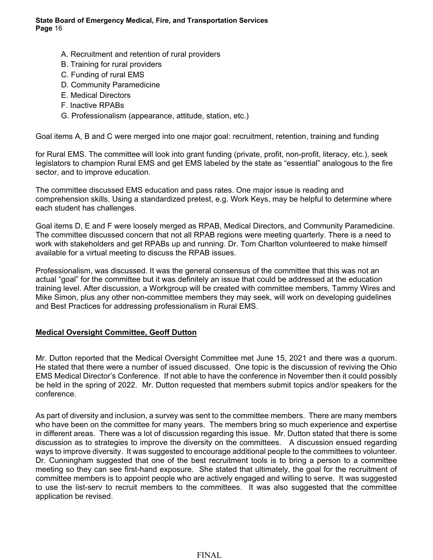- A. Recruitment and retention of rural providers
- B. Training for rural providers
- C. Funding of rural EMS
- D. Community Paramedicine
- E. Medical Directors
- F. Inactive RPABs
- G. Professionalism (appearance, attitude, station, etc.)

Goal items A, B and C were merged into one major goal: recruitment, retention, training and funding

for Rural EMS. The committee will look into grant funding (private, profit, non-profit, literacy, etc.), seek legislators to champion Rural EMS and get EMS labeled by the state as "essential" analogous to the fire sector, and to improve education.

The committee discussed EMS education and pass rates. One major issue is reading and comprehension skills. Using a standardized pretest, e.g. Work Keys, may be helpful to determine where each student has challenges.

Goal items D, E and F were loosely merged as RPAB, Medical Directors, and Community Paramedicine. The committee discussed concern that not all RPAB regions were meeting quarterly. There is a need to work with stakeholders and get RPABs up and running. Dr. Tom Charlton volunteered to make himself available for a virtual meeting to discuss the RPAB issues.

Professionalism, was discussed. It was the general consensus of the committee that this was not an actual "goal" for the committee but it was definitely an issue that could be addressed at the education training level. After discussion, a Workgroup will be created with committee members, Tammy Wires and Mike Simon, plus any other non-committee members they may seek, will work on developing guidelines and Best Practices for addressing professionalism in Rural EMS.

# **Medical Oversight Committee, Geoff Dutton**

Mr. Dutton reported that the Medical Oversight Committee met June 15, 2021 and there was a quorum. He stated that there were a number of issued discussed. One topic is the discussion of reviving the Ohio EMS Medical Director's Conference. If not able to have the conference in November then it could possibly be held in the spring of 2022. Mr. Dutton requested that members submit topics and/or speakers for the conference.

As part of diversity and inclusion, a survey was sent to the committee members. There are many members who have been on the committee for many years. The members bring so much experience and expertise in different areas. There was a lot of discussion regarding this issue. Mr. Dutton stated that there is some discussion as to strategies to improve the diversity on the committees. A discussion ensued regarding ways to improve diversity. It was suggested to encourage additional people to the committees to volunteer. Dr. Cunningham suggested that one of the best recruitment tools is to bring a person to a committee meeting so they can see first-hand exposure. She stated that ultimately, the goal for the recruitment of committee members is to appoint people who are actively engaged and willing to serve. It was suggested to use the list-serv to recruit members to the committees. It was also suggested that the committee application be revised.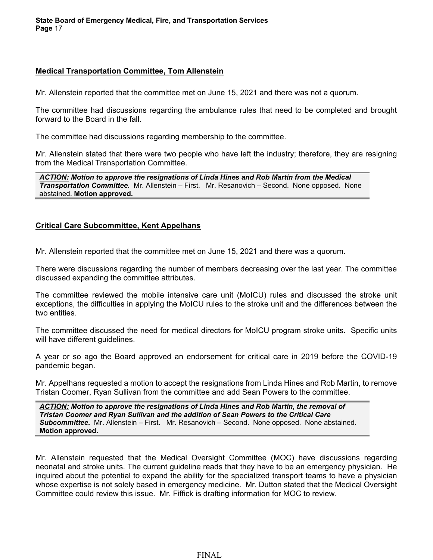#### **Medical Transportation Committee, Tom Allenstein**

Mr. Allenstein reported that the committee met on June 15, 2021 and there was not a quorum.

The committee had discussions regarding the ambulance rules that need to be completed and brought forward to the Board in the fall.

The committee had discussions regarding membership to the committee.

Mr. Allenstein stated that there were two people who have left the industry; therefore, they are resigning from the Medical Transportation Committee.

*ACTION: Motion to approve the resignations of Linda Hines and Rob Martin from the Medical Transportation Committee.* Mr. Allenstein – First. Mr. Resanovich – Second. None opposed. None abstained. **Motion approved.**

## **Critical Care Subcommittee, Kent Appelhans**

Mr. Allenstein reported that the committee met on June 15, 2021 and there was a quorum.

There were discussions regarding the number of members decreasing over the last year. The committee discussed expanding the committee attributes.

The committee reviewed the mobile intensive care unit (MoICU) rules and discussed the stroke unit exceptions, the difficulties in applying the MoICU rules to the stroke unit and the differences between the two entities

The committee discussed the need for medical directors for MoICU program stroke units. Specific units will have different guidelines.

A year or so ago the Board approved an endorsement for critical care in 2019 before the COVID-19 pandemic began.

Mr. Appelhans requested a motion to accept the resignations from Linda Hines and Rob Martin, to remove Tristan Coomer, Ryan Sullivan from the committee and add Sean Powers to the committee.

*ACTION: Motion to approve the resignations of Linda Hines and Rob Martin, the removal of Tristan Coomer and Ryan Sullivan and the addition of Sean Powers to the Critical Care Subcommittee.* Mr. Allenstein – First. Mr. Resanovich – Second. None opposed. None abstained. **Motion approved.**

Mr. Allenstein requested that the Medical Oversight Committee (MOC) have discussions regarding neonatal and stroke units. The current guideline reads that they have to be an emergency physician. He inquired about the potential to expand the ability for the specialized transport teams to have a physician whose expertise is not solely based in emergency medicine. Mr. Dutton stated that the Medical Oversight Committee could review this issue. Mr. Fiffick is drafting information for MOC to review.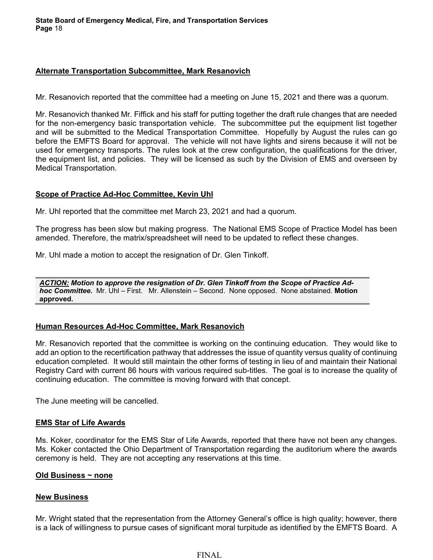## **Alternate Transportation Subcommittee, Mark Resanovich**

Mr. Resanovich reported that the committee had a meeting on June 15, 2021 and there was a quorum.

Mr. Resanovich thanked Mr. Fiffick and his staff for putting together the draft rule changes that are needed for the non-emergency basic transportation vehicle. The subcommittee put the equipment list together and will be submitted to the Medical Transportation Committee. Hopefully by August the rules can go before the EMFTS Board for approval. The vehicle will not have lights and sirens because it will not be used for emergency transports. The rules look at the crew configuration, the qualifications for the driver, the equipment list, and policies. They will be licensed as such by the Division of EMS and overseen by Medical Transportation.

## **Scope of Practice Ad-Hoc Committee, Kevin Uhl**

Mr. Uhl reported that the committee met March 23, 2021 and had a quorum.

The progress has been slow but making progress. The National EMS Scope of Practice Model has been amended. Therefore, the matrix/spreadsheet will need to be updated to reflect these changes.

Mr. Uhl made a motion to accept the resignation of Dr. Glen Tinkoff.

*ACTION: Motion to approve the resignation of Dr. Glen Tinkoff from the Scope of Practice Adhoc Committee.* Mr. Uhl – First. Mr. Allenstein – Second. None opposed. None abstained. **Motion approved.**

# **Human Resources Ad-Hoc Committee, Mark Resanovich**

Mr. Resanovich reported that the committee is working on the continuing education. They would like to add an option to the recertification pathway that addresses the issue of quantity versus quality of continuing education completed. It would still maintain the other forms of testing in lieu of and maintain their National Registry Card with current 86 hours with various required sub-titles. The goal is to increase the quality of continuing education. The committee is moving forward with that concept.

The June meeting will be cancelled.

# **EMS Star of Life Awards**

Ms. Koker, coordinator for the EMS Star of Life Awards, reported that there have not been any changes. Ms. Koker contacted the Ohio Department of Transportation regarding the auditorium where the awards ceremony is held. They are not accepting any reservations at this time.

## **Old Business ~ none**

## **New Business**

Mr. Wright stated that the representation from the Attorney General's office is high quality; however, there is a lack of willingness to pursue cases of significant moral turpitude as identified by the EMFTS Board. A